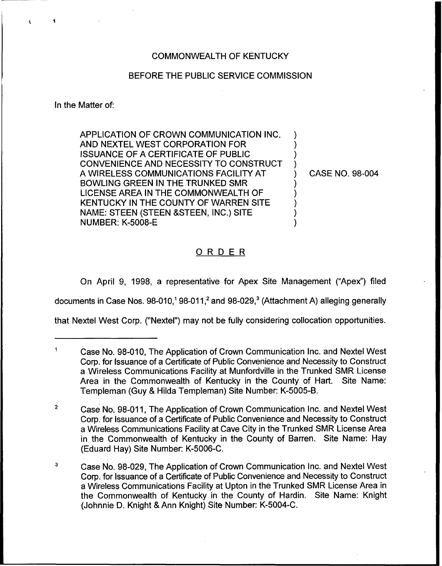### COMMONWEALTH OF KENTUCKY

### BEFORE THE PUBLIC SERVICE COMMISSION

In the Matter of:

APPLICATION OF CROWN COMMUNICATION INC. AND NEXTEL WEST CORPORATION FOR ISSUANCE OF A CERTIFICATE OF PUBLIC CONVENIENCE AND NECESSITY TO CONSTRUCT A WIRELESS COMMUNICATIONS FACILITY AT BOWLING GREEN IN THE TRUNKED SMR LICENSE AREA IN THE COMMONWEALTH OF KENTUCKY IN THE COUNTY OF WARREN SITE NAME: STEEN (STEEN 8STEEN, INC.) SITE NUMBER: K-5008-E ) ) ) ) ) ) ) ) )

) CASE NO. 98-004

# ORDER

On April 9, 1998, a representative for Apex Site Management ("Apex") filed

documents in Case Nos.  $98-010$ ,<sup>1</sup>  $98-011$ ,<sup>2</sup> and  $98-029$ ,<sup>3</sup> (Attachment A) alleging generally

that Nextel West Corp. ("Nextel") may not be fully considering collocation opportunities.

 $\blacksquare$ Case No. 98-010, The Application of Crown Communication lnc. and Nextel West Corp. for Issuance of a Certificate of Public Convenience and Necessity to Construct a Wireless Communications Facility at Munfordville in the Trunked SMR License Area in the Commonwealth of Kentucky in the County of Hart. Site Name: Templeman (Guy & Hilda Templeman) Site Number: K-5005-B.

 $\overline{2}$ Case No. 98-011,The Application of Crown Communication Inc. and Nextel West Corp. for Issuance of a Certificate of Public Convenience and Necessity to Construct a Wireless Communications Facility at Cave City in the Trunked SMR License Area in the Commonwealth of Kentucky in the County of Barren. Site Name: Hay (Eduard Hay) Site Number: K-5006-C.

 $\overline{\mathbf{3}}$ Case No. 98-029, The Application of Crown Communication Inc. and Nextel West Corp. for Issuance of a Certificate of Public Convenience and Necessity to Construct a Wireless Communications Facility at Upton in the Trunked SMR License Area in the Commonwealth of Kentucky in the County of Hardin. Site Name: Knight (Johnnie D. Knight 8 Ann Knight) Site Number: K-5004-C.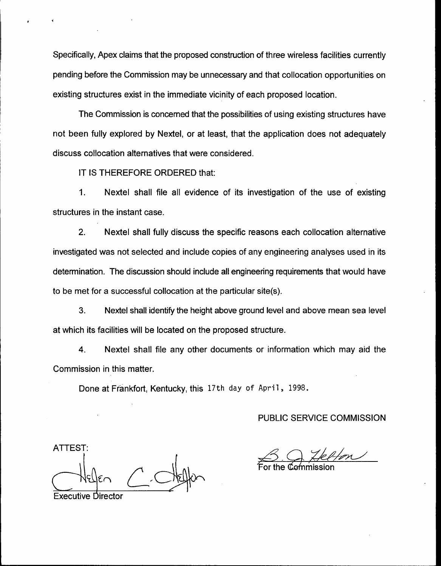Specifically, Apex claims that the proposed construction of three wireless facilities currently pending before the Commission may be unnecessary and that collocation opportunities on existing structures exist in the immediate vicinity of each proposed location.

The Commission is concerned that the possibilities of using existing structures have not been fully explored by Nextel, or at least, that the application does not adequately discuss collocation alternatives that were considered.

IT IS THEREFORE ORDERED that:

1. Nextel shall file all evidence of its investigation of the use of existing structures in the instant case.

2. Nextel shall fully discuss the specific reasons each collocation alternative investigated was not selected and include copies of any engineering analyses used in its determination. The discussion should include all engineering requirements that would have to be met for a successful collocation at the particular site(s).

3. Nextel shall identify the height above ground level and above mean sea level at which its facilities will be located on the proposed structure.

4. Nextel shall file any other documents or information which may aid the Commission in this matter.

Done at Frankfort, Kentucky, this 17th day of April, 1998.

PUBLIC SERVICE COMMISSION

ATTEST:

For the Commissic

Executive Director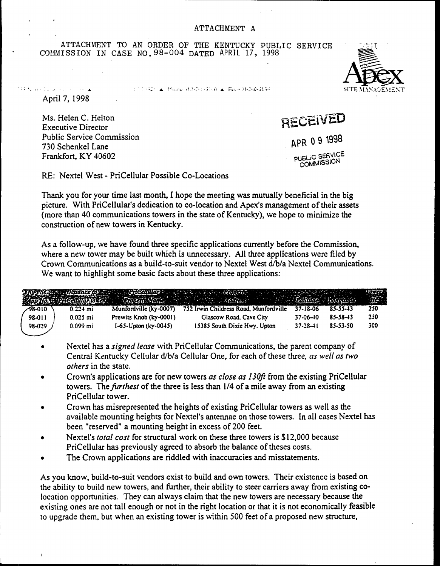ATTACHMENT TO AN ORDER OF THE KENTUCKY PUBLIC SERVICE COMMISSION IN CASE NO. 98-004 DATED APRIL 17, 1998

17.1942) A. Phone (1972) (3160) A. Fax (610-260-3138)

April 7, 1998

ternal electrical number

Ms. Helen C. Helton **Executive Director Public Service Commission** 730 Schenkel Lane Frankfort, KY 40602

RECEIVED APR 09 1998 **PUBLIC SERVICE** COMMISSION

RE: Nextel West - PriCellular Possible Co-Locations

Thank you for your time last month, I hope the meeting was mutually beneficial in the big picture. With PriCellular's dedication to co-location and Apex's management of their assets (more than 40 communications towers in the state of Kentucky), we hope to minimize the construction of new towers in Kentucky.

As a follow-up, we have found three specific applications currently before the Commission, where a new tower may be built which is unnecessary. All three applications were filed by Crown Communications as a build-to-suit vendor to Nextel West d/b/a Nextel Communications. We want to highlight some basic facts about these three applications:

|         |            |                              | Archives Distance of Protectulary and the experience of the contract of the contract of the contract of the contract of the contract of the contract of the contract of the contract of the contract of the contract of the co |                |          | $\begin{picture}(20,20) \put(0,0){\vector(1,0){30}} \put(15,0){\vector(1,0){30}} \put(15,0){\vector(1,0){30}} \put(15,0){\vector(1,0){30}} \put(15,0){\vector(1,0){30}} \put(15,0){\vector(1,0){30}} \put(15,0){\vector(1,0){30}} \put(15,0){\vector(1,0){30}} \put(15,0){\vector(1,0){30}} \put(15,0){\vector(1,0){30}} \put(15,0){\vector(1,0){30}} \put(15,0){\vector(1$<br>麻醉 |
|---------|------------|------------------------------|--------------------------------------------------------------------------------------------------------------------------------------------------------------------------------------------------------------------------------|----------------|----------|-----------------------------------------------------------------------------------------------------------------------------------------------------------------------------------------------------------------------------------------------------------------------------------------------------------------------------------------------------------------------------------|
| -98-010 | $0.224$ mi | Munfordville (ky-0007)       | 752 Irwin Childress Road, Munfordville                                                                                                                                                                                         | 37-18-06       | 85-55-43 | 250                                                                                                                                                                                                                                                                                                                                                                               |
| 98-011  | $0.025$ mi | Prewits Knob (ky-0001)       | Glascow Road, Cave City                                                                                                                                                                                                        | 37-06-40       | 85-58-43 | 250                                                                                                                                                                                                                                                                                                                                                                               |
| 98-029  | $0.099$ mi | $1-65 -$ Upton (ky $-0045$ ) | 15385 South Dixie Hwy, Upton                                                                                                                                                                                                   | $37 - 28 - 11$ | 85-53-50 | 300                                                                                                                                                                                                                                                                                                                                                                               |

- Nextel has a *signed lease* with PriCellular Communications, the parent company of  $\bullet$ Central Kentucky Cellular d/b/a Cellular One, for each of these three, as well as two others in the state.
- Crown's applications are for new towers as close as 130ft from the existing PriCellular  $\bullet$ towers. The *furthest* of the three is less than 1/4 of a mile away from an existing PriCellular tower.
- Crown has misrepresented the heights of existing PriCellular towers as well as the  $\bullet$ available mounting heights for Nextel's antennae on those towers. In all cases Nextel has been "reserved" a mounting height in excess of 200 feet.
- Nextel's total cost for structural work on these three towers is \$12,000 because  $\bullet$ PriCellular has previously agreed to absorb the balance of theses costs.
- The Crown applications are riddled with inaccuracies and misstatements.

As you know, build-to-suit vendors exist to build and own towers. Their existence is based on the ability to build new towers, and further, their ability to steer carriers away from existing colocation opportunities. They can always claim that the new towers are necessary because the existing ones are not tall enough or not in the right location or that it is not economically feasible to upgrade them, but when an existing tower is within 500 feet of a proposed new structure,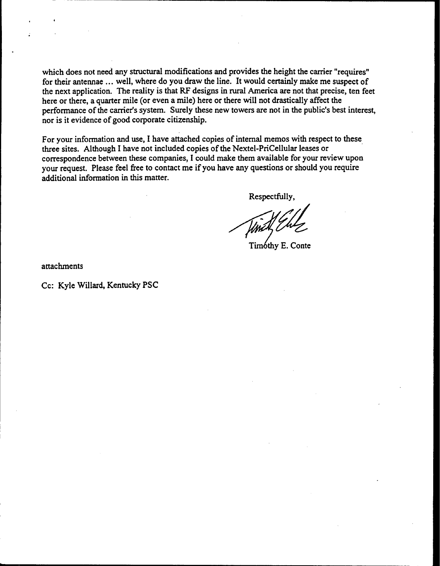which does not need any structural modifications and provides the height the carrier "requires" for their antennae ... well, where do you draw the line. It would certainly make me suspect of the next application. The reality is that RF designs in rural America are not that precise, ten feet here or there, a quarter mile (or even a mile} here or there will not drastically affect the performance of the carrier's system. Surely these new towers are not in the public's best interest, nor is it evidence of good corporate citizenship.

For your information and use, I have attached copies of internal memos with respect to these three sites. Although I have not included copies of the Nextel-PriCellular leases or correspondence between these companies, I could make them available for your review upon your request. Please feel free to contact me if you have any questions or should you require additional information in this matter.

Respectfully,

Timóthy E. Conte

attachments

Cc: Kyle Willard, Kentucky PSC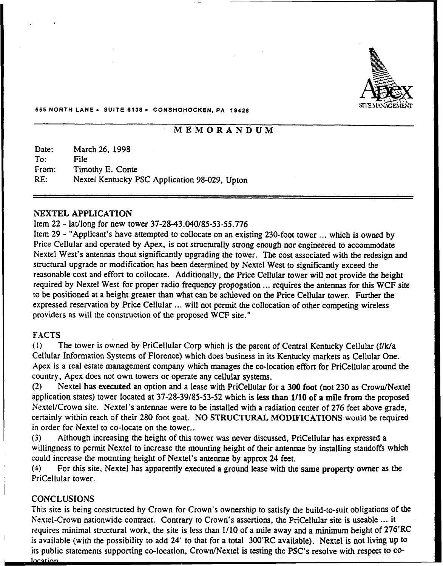

#### 555 NORTH LANE <sup>~</sup> SUITE 6138 <sup>~</sup> CONSHOHOCKEN, PA 18428

# MEMORANDUM

Date: To: From: RE: March 26, 1998 File Timothy E. Conte Nextel Kentucky PSC Application 98-029, Upton

#### NEXTEL APPLICATION

#### Item 22 - lat/long for new tower 37-28-43.040/85-53-55.776

Item <sup>29</sup> - "Applicant's have attempted to collocate on an existing 230-foot tower ...which is owned by Price Cellular and operated by Apex, is not structurally strong enough nor engineered to accommodate Nextel West's antennas thout significantly upgrading the tower. The cost associated with the redesign and structural upgrade or modification has been determined by Nextel West to significantly exceed the reasonable cost and effort to collocate. Additionally, the Price Cellular tower will not provide the height required by Nextel West for proper radio frequency propogation ... requires the antennas for this WCF site to be positioned at a height greater than what can be achieved on the Price Cellular tower. Further the expressed reservation by Price Cellular ... will not permit the collocation of other competing wireless providers as will the construction of the proposed WCF site."

#### FACTS

(1) The tower is owned by PriCellular Corp which is the parent of Central Kentucky Cellular (f/k/a Cellular Information Systems of Florence) which does business in its Kentucky markets as Cellular One. Apex is a real estate management company which manages the co-location effort for PriCellular around the country, Apex does not own towers or operate any cellular systems.

(2) Nextel has executed an option and a lease with PriCellular for a 3DO foot (not 230 as Crown/Nextel application states) tower located at 37-28-39/85-53-52 which is less than 1/1D of a mile from the proposed Nextel/Crown site. Nextel's antennae were to be installed with a radiation center of 276 feet above grade, certainly within reach of their 280 foot goal. NO STRUCTURAL MODIFICATIONS would be required in order for Nextel to co-locate on the tower..

(3) Although increasing the height of this tower was never discussed, PriCellular has expressed a willingness to permit Nextel to increase the mounting height of their antennae by installing standoffs which could increase the mounting height of Nextel's antennae by approx 24 feet.

(4) For this site, Nextel has apparently executed a ground lease with the same property owner as the PriCellular tower.

#### **CONCLUSIONS**

This site is being constructed by Crown for Crown's ownership to satisfy the build-to-suit obligations of the Nextel-Crown nationwide contract. Contrary to Crown's assertions, the PriCellular site is useable ...it requires minimal structural work, the site is less than 1/10 of a mile away and a minimum height of 276'RC is available (with the possibility to add 24' to that for a total 300'RC available). Nextel is not living up to its public statements supporting co-location, Crown/Nextel is testing the pSC's resolve with respect to co-

Inr arinn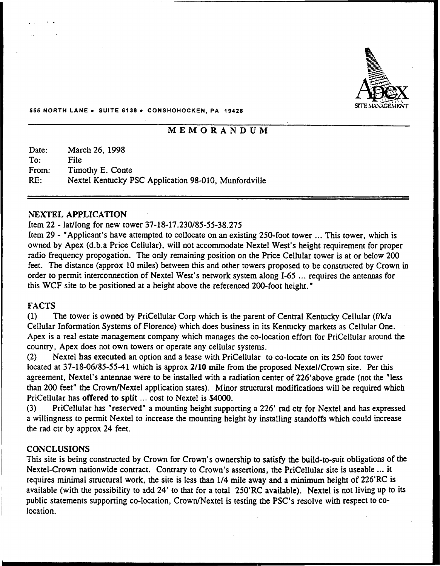

#### 555 NORTH LANE <sup>~</sup> SUITE 6138 <sup>&</sup>gt; CONSHOHOCKEN, PA 18428

# MEMORANDUM

| Date: | March 26, 1998                                       |
|-------|------------------------------------------------------|
| To:   | File                                                 |
| From: | Timothy E. Conte                                     |
| RE:   | Nextel Kentucky PSC Application 98-010, Munfordville |

#### NEXTEL APPLICATION

#### Item 22 - lat/long for new tower 37-18-17.230/85-55-38.275

Item <sup>29</sup> - "Applicant's have attempted to collocate on an existing 250-foot tower ...This tower, which is owned by Apex (d.b.a Price Cellular), will not accommodate Nextel West's height requirement for proper radio frequency propogation. The only remaining position on the Price Cellular tower is at or below 200 feet. The distance (approx 10 miles) between this and other towers proposed to be constructed by Crown in order to permit interconnection of Nextel West's network system along I-65 ... requires the antennas for this WCF site to be positioned at a height above the referenced 200-foot height."

#### FACTS

 $(1)$  The tower is owned by PriCellular Corp which is the parent of Central Kentucky Cellular (f/k/a Cellular Information Systems of Florence) which does business in its Kentucky markets as Cellular One. Apex is a real estate management company which manages the co-location effort for PriCellular around the country, Apex does not own towers or operate any cellular systems.

(2) Nextel has executed an option and a lease with PriCellular to co-locate on its 250 foot tower located at 37-18-06/85-55-41 which is approx 2/10 mile from the proposed Nextel/Crown site. Per this agreement, Nextel's antennae were to be installed with a radiation center of 226'above grade (not the "less than 200 feet" the Crown/Nextel application states). Minor structural modifications will be required which PriCellular has offered to split ... cost to Nextel is \$4000.

(3) PriCellular has "reserved" a mounting height supporting a 226' rad ctr for Nextel and has expressed a willingness to permit Nextel to increase the mounting height by installing standoffs which could increase the rad ctr by approx 24 feet.

#### **CONCLUSIONS**

This site is being constructed by Crown for Crown's ownership to satisfy the build-to-suit obligations of the Nextel-Crown nationwide contract. Contrary to Crown's assertions, the PriCellular site is useable ...it requires minimal structural work, the site is less than 1/4 mile away and a minimum height of 226'RC is available (with the possibility to add 24' to that for a total 250'RC available). Nextel is not living up to its public statements supporting co-location, Crown/Nextel is testing the PSC's resolve with respect to colocation.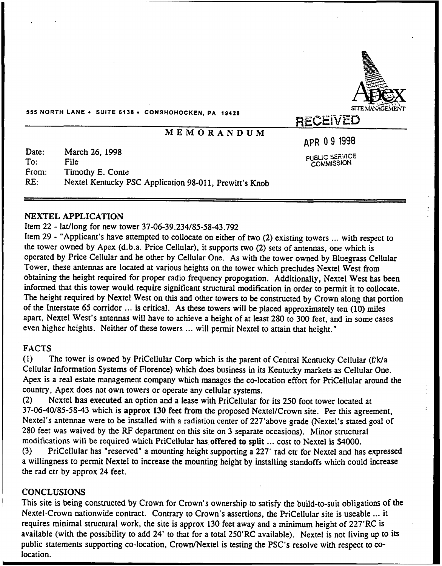

555 NORTH LANE <sup>~</sup> SUITE 613& <sup>~</sup> CONSHOHOCKEN, PA 1942&

# MEMORANDUM

gPR 09 1998

PUBLIC SERVICE COMMISSION

Date: To: From: RE: March 26, 1998 File Timothy E. Conte Nextel Kentucky PSC Application 98-011, Prewitt's Knob

#### NEXTEL APPLICATION

#### Item 22 - lat/long for new tower 37-06-39.234/85-58-43.792

Item 29 - "Applicant's have attempted to collocate on either of two (2) existing towers ... with respect to the tower owned by Apex (d.b.a. Price Cellular), it supports two (2) sets of antennas, one which is operated by Price Cellular and he other by Cellular One. As with the tower owned by Bluegrass Cellular Tower, these antennas are located at various heights on the tower which precludes Nextel West from obtaining the height required for proper radio frequency propogation. Additionally, Nextel West has been informed that this tower would require significant structural modification in order to permit it to collocate. The height required by Nextel West on this and other towers to be constructed by Crown along that portion of the Interstate 65 corridor ... is critical. As these towers will be placed approximately ten (10) miles apart, Nextel West's antennas will have to achieve a height of at least 280 to 300 feet, and in some cases even higher heights. Neither of these towers ... will permit Nextel to attain that height."

# FACTS

(1) The tower is owned by PriCellular Corp which is the parent of Central Kentucky Cellular (f/kla Cellular Information Systems of Florence) which does business in its Kentucky markets as Cellular One. Apex is a real estate management company which manages the co-location effort for PriCellular around the country, Apex does not own towers or operate any cellular systems.

(2) Nextel has executed an option and a lease with PriCellular for its 250 foot tower located at 37-06-40/85-58-43 which is approx 130 feet from the proposed Nextel/Crown site. Per this agreement, Nextel's antennae were to be installed with a radiation center of 227'above grade (Nextel's stated goal of 280 feet was waived by the RF department on this site on 3 separate occasions). Minor structural modifications will be required which PriCellular has offered to split ... cost to Nextel is \$4000.<br>(3) PriCellular has "reserved" a mounting height supporting a 227' rad ctr for Nextel and ha

PriCellular has "reserved" a mounting height supporting a 227' rad ctr for Nextel and has expressed a willingness to permit Nextel to increase the mounting height by installing standoffs which could increase the rad ctr by approx 24 feet.

#### **CONCLUSIONS**

This site is being constructed by Crown for Crown's ownership to satisfy the build-to-suit obligations of the Nextel-Crown nationwide contract. Contrary to Crown's assertions, the PriCellular site is useable .. it requires minimal structural work, the site is approx 130 feet away and a minimum height of 227'RC is available (with the possibility to add 24' to that for a total 250'RC available). Nextel is not living up to its public statements supporting co-location, Crown/Nextel is testing the PSC's resolve with respect to colocation.